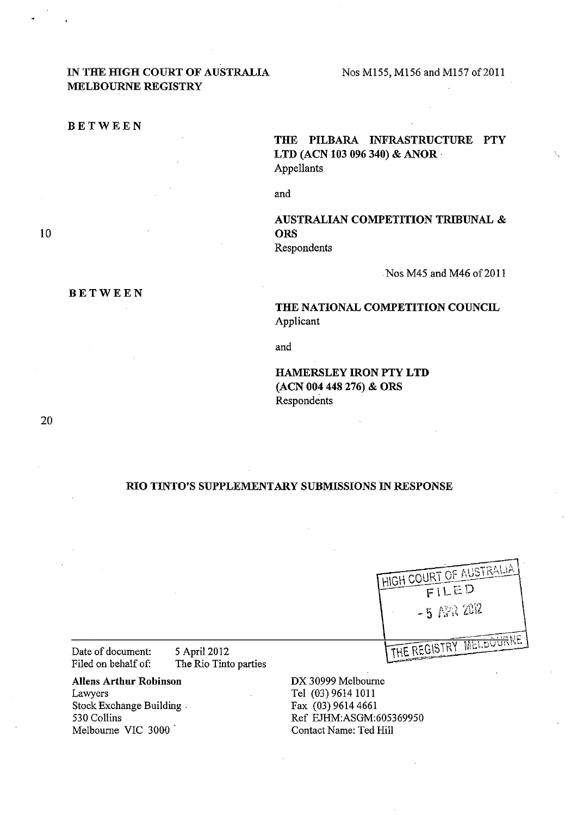# IN THE HIGH COURT OF AUSTRALIA MELBOURNE REGISTRY

BETWEEN

BETWEEN

THE PILBARA INFRASTRUCTURE PTY LTD (ACN 103 096 340) & ANOR · Appellants

and

AUSTRALIAN COMPETITION TRIBUNAL & **ORS** Respondents

Nos M45 and M46 of 2011

THE NATIONAL COMPETITION COUNCIL Applicant

and

HAMERSLEY IRON PTY LTD (ACN 004 448 276) & ORS Respondents

#### RIO TINTO'S SUPPLEMENTARY SUBMISSIONS IN RESPONSE

| HIGH COURT OF AUSTRALIA<br>FILED<br>$-5$ $N2$ $2012$ |
|------------------------------------------------------|
|                                                      |
| THE REGISTRY MELBOURNE                               |

Date of document: 5 April 2012<br>Filed on behalf of: The Rio Tint

The Rio Tinto parties

Aliens Arthur Robinson Lawyers Stock Exchange Building 530 Collins Melbourne VIC 3000

DX 30999 Melbourne Tel (03) 9614 1011 Fax (03) 9614 4661 Ref EJHM:ASGM:60S3699SO Contact Name: Ted Hill

20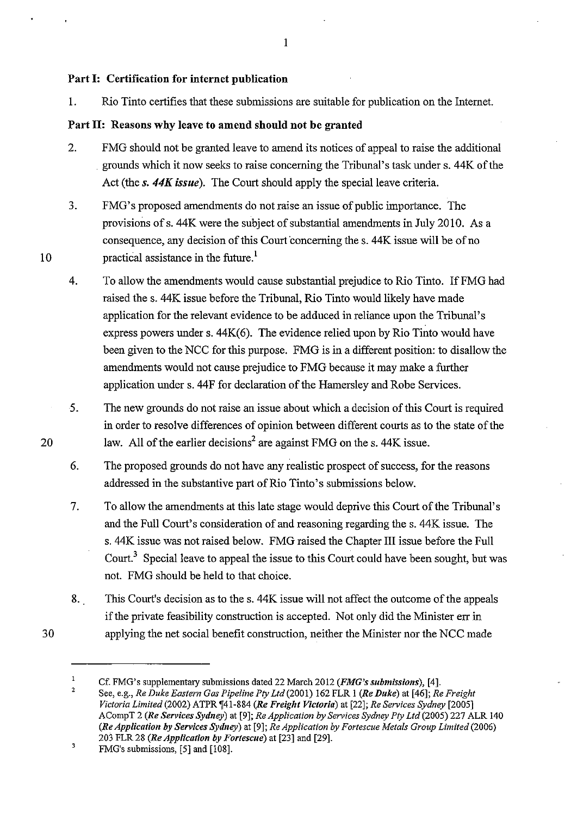## Part 1: Certification for internet publication

1. Rio Tinto certifies that these submissions are suitable for publication on the Internet.

# Part II: Reasons why leave to amend should not be granted

- 2. FMG should not be granted leave to amend its notices of appeal to raise the additional grounds which it now seeks to raise concerning the Tribunal's task under s. 44K of the Act (the *s.* 44K *issue).* The Court should apply the special leave criteria.
- 3. FMG's proposed amendments do not raise an issue of public importance. The provisions ofs. 44K were the subject of substantial amendments in July 2010. As a consequence, any decision of this Court concerning the s. 44K issue will be of no practical assistance in the future.<sup>1</sup>
- 4. To allow the amendments would cause substantial prejudice to Rio Tinto. IfFMG had raised the s. 44K issue before the Tribunal, Rio Tinto would likely have made application for the relevant evidence to be adduced in reliance upon the Tribunal's express powers under s. 44K(6). The evidence relied upon by Rio Tinto would have been given to the NCC for this purpose. FMG is in a different position: to disallow the amendments would not cause prejudice to FMG because it may make a further application under s. 44F for declaration of the Hamersley and Robe Services.
- *5.*  The new grounds do not raise an issue about which a decision of this Court is required in order to resolve differences of opinion between different courts as to the state of the law. All of the earlier decisions<sup>2</sup> are against FMG on the s. 44K issue.
- 6. The proposed grounds do not have any realistic prospect of success, for the reasons addressed in the substantive part of Rio Tinto' s submissions below.
- 7. To allow the amendments at this late stage would deprive this Court of the Tribunal's and the Full Court's consideration of and reasoning regarding the s. 44K issue. The s. 44K issue was not raised below. FMG raised the Chapter III issue before the Full *Court?* Special leave to appeal the issue to this Court could have been sought, but was not. FMG should be held to that choice.
- 8. This Court's decision as to the s. 44K issue will not affect the outcome of the appeals if the private feasibility construction is accepted. Not only did the Minister err in applying the net social benefit construction, neither the Minister nor the NCC made

20

30

10

I

 $\mathbf{1}$ Cf. FMG's supplementary submissions dated 22 March 2012 *(FMG's submissions),* [4]. 2

See, e.g., *Re Duke Eastern Gas Pipeline Pty Ltd(2001)* 162 FLR I *(Re Duke)* at [46]; *Re Freight Victoria Limited* (2002) ATPR 1[41-884 *(Re Freight Victoria)* at [22]; *Re Services Sydney* [2005] ACompT 2 *(Re Services Sydney)* at [9]; *ReApplication by Services Sydney Pty Ltd* (2005) 227 ALR 140 *(ReApplication by Services Sydney)* at [9]; *ReApplication by Fortescue Metals Group Limited* (2006) 203 FLR 28 *(ReApplication by Fortescue)* at [23] and [29].

 $\mathbf 3$ FMG's submissions, [5] and [108].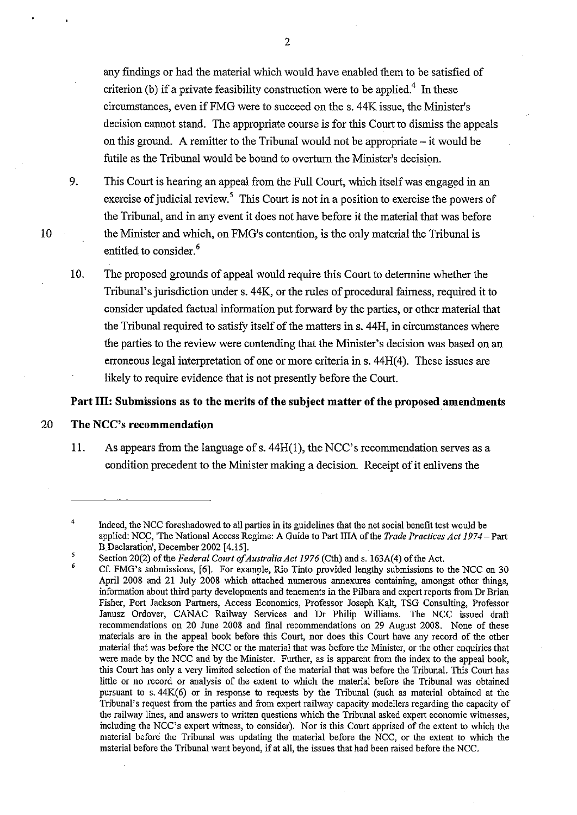any findings or had the material which would have enabled them to be satisfied of criterion (b) if a private feasibility construction were to be applied.<sup>4</sup> In these circumstances, even ifFMG were to succeed on the s. 44K issue, the Minister's decision cannot stand. The appropriate course is for this Court to dismiss the appeals on this ground. A remitter to the Tribunal would not be appropriate – it would be futile as the Tribunal would be bound to overturn the Minister's decision.

9. This Court is hearing an appeal from the Full Court, which itself was engaged in an exercise of judicial review.<sup>5</sup> This Court is not in a position to exercise the powers of the Tribunal, and in any event it does not have before it the material that was before the Minister and which, on FMG's contention, is the only material the Tribunal is entitled to consider.<sup>6</sup>

10. The proposed grounds of appeal would require this Court to determine whether the Tribunal's jurisdiction under s. 44K, or the rules of procedural fairness, required it to consider updated factual information put forward by the parties, or other material that the Tribunal required to satisfy itself of the matters ins. 44H, in circumstances where the parties to the review were contending that the Minister's decision was based on an erroneous legal interpretation of one or more criteria in s.  $44H(4)$ . These issues are likely to require evidence that is not presently before the Court.

#### Part III: Submissions as to the merits of the subject matter of the proposed amendments

#### 20 **The** NCC's **recommendation**

11. As appears from the language of s. 44H(l), the NCC's recommendation serves as a condition precedent to the Minister making a decision. Receipt of it enlivens the

<sup>4</sup>  Indeed, the NCC foreshadowed to all parties in its guidelines that the net social benefit test would be applied: NCC, 'The National Access Regime: A Guide to Part IliA of the *Trade Practices Act 1974-* Part B. Declaration', December 2002 [4.15].

*<sup>5</sup>*  6 Section 20(2) of the *Federal Court of Australia Act 1976* (Cth) and s. 163A(4) of the Act.

Cf. FMG's submissions, [6]. For example, Rio Tinto provided lengthy submissions to the NCC on 30 April 2008 and 21 July 2008 which attached numerous annexures containing, amongst other things, information about third party developments and tenements in the Pilbara and expert reports from Dr Brian Fisher, Port Jackson Partners, Access Economics, Professor Joseph Kalt, TSG Consulting, Professor Janusz Ordover, CANAC Railway Services and Dr Philip Williams. The NCC issued draft recommendations on 20 June 2008 and final recommendations on 29 August 2008. None of these materials are in the appeal book before this Court, nor does this Court have any record of the other material that was before the NCC or the material that was before the Minister, or the other enquiries that were made by the NCC and by the Minister. Further, as is apparent from the index to the appeal book, this Court has only a very limited selection of the material that was before the Tribunal. This Court has little or no record or analysis of the extent to which the material before the Tribunal was obtained pursuant to s. 44K(6) or in response to requests by the Tribunal (such as material obtained at the Tribunal's request from the parties and from expert railway capacity modellers regarding the capacity of the railway lines, and answers to written questions which the Tribunal asked expert economic witnesses, including the NCC's expert witness, to consider). Nor is this Court apprised of the extent to which the material before the Tribunal was updating the material before the NCC, or the extent to which the material before the Tribunal went beyond, if at all, the issues that had been raised before the NCC.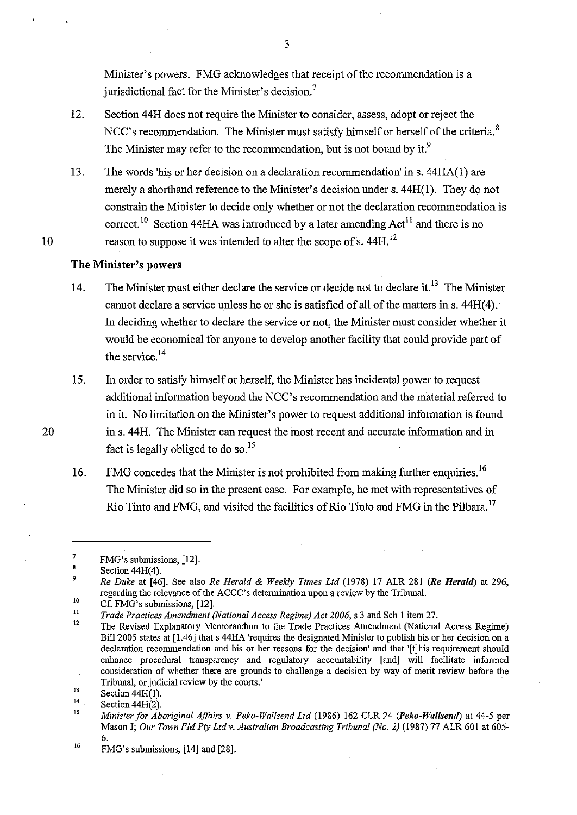Minister's powers. FMG acknowledges that receipt of the recommendation is a jurisdictional fact for the Minister's decision. <sup>7</sup>

- 12. Section 44H does not require the Minister to consider, assess, adopt or reject the NCC's recommendation. The Minister must satisfy himself or herself of the criteria.<sup>8</sup> The Minister may refer to the recommendation, but is not bound by it.<sup>9</sup>
- 13. The words 'his or her decision on a declaration recommendation' ins. 44HA(1) are merely a shorthand reference to the Minister's decision under s. 44H(l). They do not constrain the Minister to decide only whether or not the declaration recommendation is correct.<sup>10</sup> Section 44HA was introduced by a later amending  $Act^{11}$  and there is no reason to suppose it was intended to alter the scope of s.  $44H$ <sup>12</sup>

#### **The Minister's powers**

10

20

- 14. The Minister must either declare the service or decide not to declare it.<sup>13</sup> The Minister cannot declare a service unless he or she is satisfied of all of the matters in s.  $44H(4)$ . In deciding whether to declare the service or not, the Minister must consider whether it would be economical for anyone to develop another facility that could provide part of the service.<sup>14</sup>
- 15. In order to satisfy himself or herself, the Minister has incidental power to request additional information beyond the NCC's recommendation and the material referred to in it. No limitation on the Minister's power to request additional information is found ins. 44H. The Minister can request the most recent and accurate information and in fact is legally obliged to do so.<sup>15</sup>
- 16. FMG concedes that the Minister is not prohibited from making further enquiries.<sup>16</sup> The Minister did so in the present case. For example, he met with representatives of Rio Tinto and FMG, and visited the facilities of Rio Tinto and FMG in the Pilbara.<sup>17</sup>

9 *Re Duke* at (46]. See also *Re Herald* & *Weekly Times Ltd* (1978) 17 ALR 281 *(Re Herald)* at 296, regarding the relevance of the ACCC's determination upon a review by the Tribunal.

<sup>7</sup>  FMG's submissions, (12].

<sup>8</sup>  Section 44H(4).

<sup>10</sup>  Cf. FMG's submissions, [12].

<sup>11</sup>  *Trade Practices Amendment (National Access Regime) Act 2006,* s 3 and Sch I item 27.

<sup>12</sup>  The Revised Explanatory Memorandum to the Trade Practices Amendment (National Access Regime) Bill 2005 states at [1.46] that s 44HA 'requires the designated Minister to publish his or her decision on a declaration recommendation and his or her reasons for the decision' and that '(t]his requirement should enhance procedural transparency and regulatory accountability [and] will facilitate informed consideration of whether there are grounds to challenge a decision by way of merit review before the Tribunal, or judicial review by the courts.'

<sup>13</sup>  14 Section 44H(l).

Section 44H(2).

<sup>15</sup>  *Minister for Aboriginal Affairs v. Peko-Wallsend Ltd* (1986) 162 CLR 24 *(Peko-Wallsend)* at 44-5 per Mason J; Our Town FM Pty Ltd v. Australian Broadcasting Tribunal (No. 2) (1987) 77 ALR 601 at 605-6.

<sup>16</sup>  FMG's submissions, (14] and [28].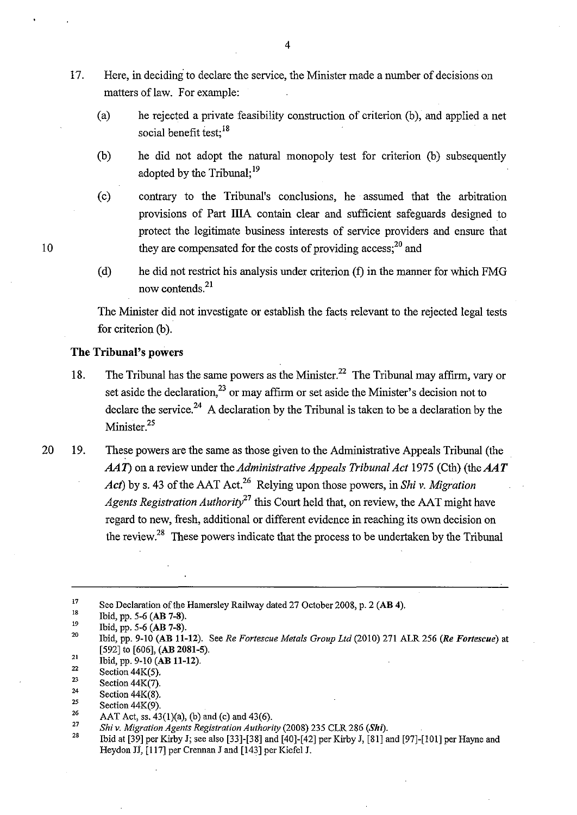- 17. Here, in deciding to declare the service, the Minister made a number of decisions on matters of law. For example:
	- (a) he rejected a private feasibility construction of criterion (b), and applied a net social benefit test:<sup>18</sup>
	- (b) he did not adopt the natural monopoly test for criterion (b) subsequently adopted by the Tribunal:<sup>19</sup>
	- (c) contrary to the Tribunal's conclusions, he assumed that the arbitration provisions of Part lilA contain clear and sufficient safeguards designed to protect the legitimate business interests of service providers and ensure that they are compensated for the costs of providing access;<sup>20</sup> and
	- (d) he did not restrict his analysis under criterion (f) in the manner for which FMG now contends.<sup>21</sup>

The Minister did not investigate or establish the facts relevant to the rejected legal tests for criterion (b).

### **The Tribunal's** powers

- 18. The Tribunal has the same powers as the Minister.<sup>22</sup> The Tribunal may affirm, vary or set aside the declaration,<sup>23</sup> or may affirm or set aside the Minister's decision not to declare the service.<sup>24</sup> A declaration by the Tribunal is taken to be a declaration by the Minister.<sup>25</sup>
- 20 19. These powers are the same as those given to the Administrative Appeals Tribunal (the *AAT*) on a review under the *Administrative Appeals Tribunal Act* 1975 (Cth) (the *AAT Act*) by s. 43 of the AAT Act.<sup>26</sup> Relying upon those powers, in *Shiv. Migration Agents Registration Authority*<sup>27</sup> this Court held that, on review, the AAT might have regard to new, fresh, additional or different evidence in reaching its own decision on the review.<sup>28</sup> These powers indicate that the process to be undertaken by the Tribunal

<sup>17</sup>  See Declaration of the Hamersley Railway dated 27 October 2008, p. 2 (AB 4).

l8 Ibid, pp. 5-6 (AB 7-8).

l9 Ibid, pp. 5-6 (AB 7-8).

<sup>20</sup>  21 Ibid, pp. 9-10 (AB 11-12). See *Re Fortescue Metals Group Ltd* (2010) 271 ALR 256 *(Re Fortescue)* at [592] to [606], (AB 2081-5).

<sup>22</sup>  Ibid, pp. 9-10 (AB 11-12).

<sup>23</sup>  Section 44K(5).

<sup>24</sup>  Section  $44K(7)$ . Section 44K(8).

<sup>25</sup>  Section 44K(9).

<sup>26</sup> 

<sup>27</sup>  AAT Act, ss. 43(1)(a), (b) and (c) and 43(6).

*Shiv. Migration Agents Registration Authority* (2008) 235 CLR 286 *(Shi).* 

<sup>28</sup>  Ibid at [39] per Kirby J; see also [33]-[38] and [40]-[42] per Kirby J, [81] and [97]-[101] per Hayne and Heydon JJ, [117] per Crennan J and [143] per Kiefel J.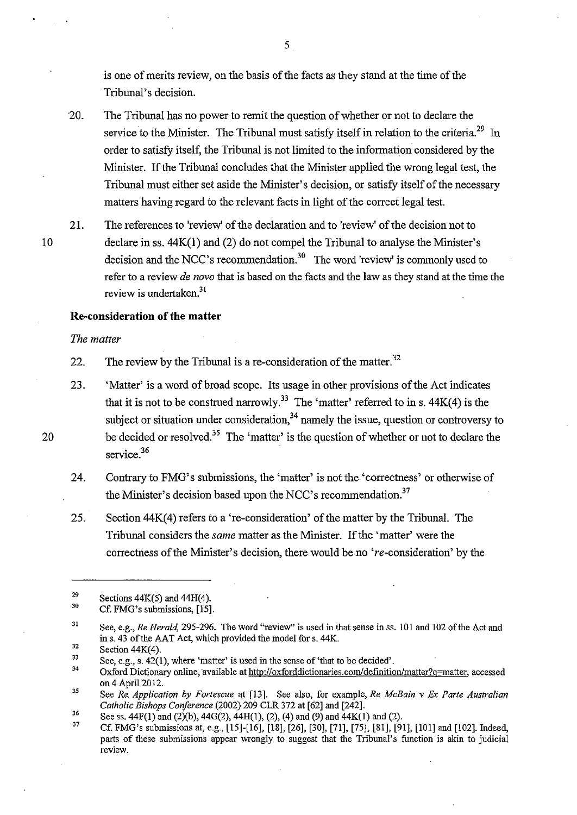is one of merits review, on the basis of the facts as they stand at the time of the Tribunal's decision.

- 20. The Tribunal has no power to remit the question of whether or not to declare the service to the Minister. The Tribunal must satisfy itself in relation to the criteria.<sup>29</sup> In order to satisfy itself, the Tribunal is not limited to the information considered by the Minister. If the Tribunal concludes that the Minister applied the wrong legal test, the Tribunal must either set aside the Minister's decision, or satisfy itself of the necessary matters having regard to the relevant facts in light of the correct legal test.
- 21. The references to 'review' of the declaration and to 'review' of the decision not to declare in ss. 44K(l) and (2) do not compel the Tribunal to analyse the Minister's decision and the NCC's recommendation.<sup>30</sup> The word 'review' is commonly used to refer to a review *de novo* that is based on the facts and the law as they stand at the time the review is undertaken. $31$

### **Re-consideration of the matter**

*The matter* 

22. The review by the Tribunal is a re-consideration of the matter.<sup>32</sup>

- 23. 'Matter' is a word of broad scope. Its usage in other provisions of the Act indicates that it is not to be construed narrowly.<sup>33</sup> The 'matter' referred to in s.  $44K(4)$  is the subject or situation under consideration, $34$  namely the issue, question or controversy to be decided or resolved.<sup>35</sup> The 'matter' is the question of whether or not to declare the service.<sup>36</sup>
- 24. Contrary to FMG's submissions, the 'matter' is not the 'correctness' or otherwise of the Minister's decision based upon the NCC's recommendation. $37$
- 25. Section 44K(4) refers to a 're-consideration' of the matter by the Tribunal. The Tribunal considers the *same* matter as the Minister. If the 'matter' were the correctness of the Minister's decision, there would be no 're-consideration' by the

31 See, e.g., *Re Herald,* 295-296. The word "review" is used in that sense in ss. 101 and 102 of the Act and ins. 43 of the AAT Act, which provided the model for s. 44K.

5

20

<sup>29</sup>  Sections 44K(5) and 44H(4).

<sup>30</sup>  Cf. FMG's submissions, [15].

<sup>32</sup>  Section  $44K(4)$ .

<sup>33</sup>  See, e.g., s. 42(1), where 'matter' is used in the sense of 'that to be decided'.

<sup>34</sup>  Oxford Dictionary online, available at http://oxforddictionaries.com/definition/matter?q=matter, accessed on 4 April 2012.

*<sup>35</sup>*  See *Re. Application by Fortescue* at [13]. See also, for example, *Re McBain v Ex Parte Australian Catholic Bishops Conference* (2002) 209 CLR 372 at [62] and [242].

<sup>36</sup>  See ss.  $44F(1)$  and  $(2)(b)$ ,  $44G(2)$ ,  $44H(1)$ ,  $(2)$ ,  $(4)$  and  $(9)$  and  $44K(1)$  and  $(2)$ .

<sup>37</sup>  Cf. FMG's submissions at, e.g., [15]-[16], [18], [26], [30], [71], [75], [81], [91], [101] and [102]. Indeed, parts of these submissions appear wrongly to suggest that the Tribunal's function is akin to judicial **review.**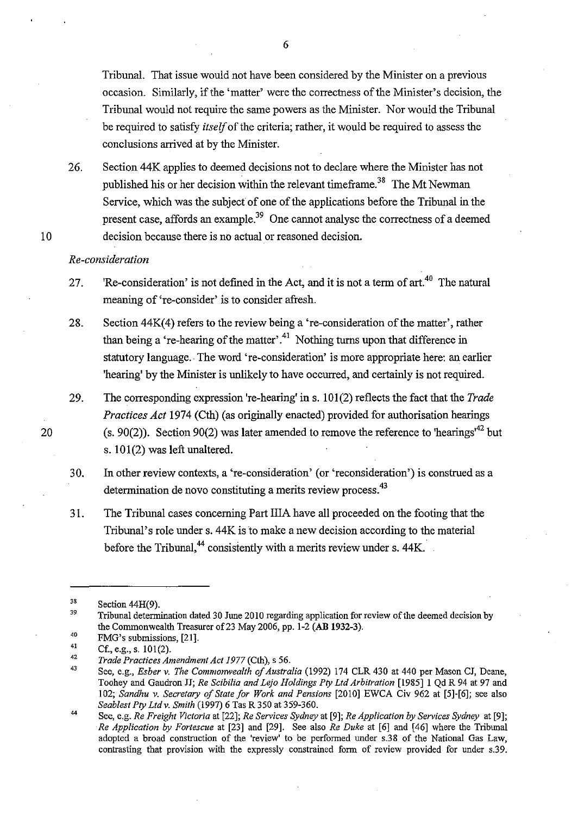Tribunal. That issue would not have been considered by the Minister on a previous occasion. Similarly, if the 'matter' were the correctness of the Minister's decision, the Tribunal would not require the same powers as the Minister. Nor would the Tribunal be required to satisfy *itself* of the criteria; rather, it would be required to assess the conclusions arrived at by the Minister.

26. Section 44K applies to deemed decisions not to declare where the Minister has not published his or her decision within the relevant timeframe.<sup>38</sup> The Mt Newman Service, which was the subject of one of the applications before the Tribunal in the present case, affords an example.<sup>39</sup> One cannot analyse the correctness of a deemed decision because there is no actual or reasoned decision.

#### *Re-consideration*

10

20

- 27. 'Re-consideration' is not defined in the Act, and it is not a term of art.<sup>40</sup> The natural meaning of 're-consider' is to consider afresh.
- 28. Section 44K(4) refers to the review being a 're-consideration of the matter', rather than being a 're-hearing of the matter'.<sup>41</sup> Nothing turns upon that difference in statutory language. The word 're-consideration' is more appropriate here: an earlier 'hearing' by the Minister is unlikely to have occurred, and certainly is not required.
- 29. The corresponding expression 're-hearing' in s. 101(2) reflects the fact that the *Trade Practices Act* 1974 (Cth) (as originally enacted) provided for authorisation hearings (s. 90(2)). Section 90(2) was later amended to remove the reference to 'hearings<sup> $42$ </sup> but s. 101(2) was left unaltered.
- 30. In other review contexts, a 're-consideration' (or 'reconsideration') is construed as a determination de novo constituting a merits review process.<sup>43</sup>
- 31. The Tribunal cases concerning Part IIIA have all proceeded on the footing that the Tribunal's role under s. 44K is to make a new decision according to the material before the Tribunal,<sup>44</sup> consistently with a merits review under s.  $44K$ .

<sup>38</sup>  Section 44H(9).

<sup>39</sup>  Tribunal determination dated 30 June 2010 regarding application for review of the deemed decision by the Commonwealth Treasurer of 23 May 2006, pp. 1-2 (AB 1932-3).

<sup>40</sup>  FMG's submissions, [21].

<sup>41</sup>  Cf., e.g., s. 101(2).

<sup>42</sup>  *Trade Practices Amendment Act 1977* (Cth), s 56.

<sup>43</sup>  See, e.g., *Esber v. The Commonwealth of Australia* (1992) 174 CLR 430 at 440 per Mason CJ, Deane, Toohey and Gaudron JJ; *Re Scibilia and Lejo Holdings Pty Ltd Arbitration* [1985] I Qd R 94 at 97 and 102; *Sandhu v. Secretary of State for Work and Pensions* [2010] EWCA Civ 962 at [5]-[6]; see also *Seablest Pty Ltdv. Smith* (1997) 6 Tas R 350 at 359-360.

<sup>44</sup>  See, e.g. *Re Freight Victoria* at [22]; *Re Services Sydney* at [9]; *Re Application by Services Sydney* at [9]; *Re Application by Fortescue* at [23] and [29]. See also *Re Duke* at [6] and [46] where the Tribunal adopted a broad construction of the 'review' to be performed under s.38 of the National Gas Law, contrasting that provision with the expressly constrained form of review provided for under s.39.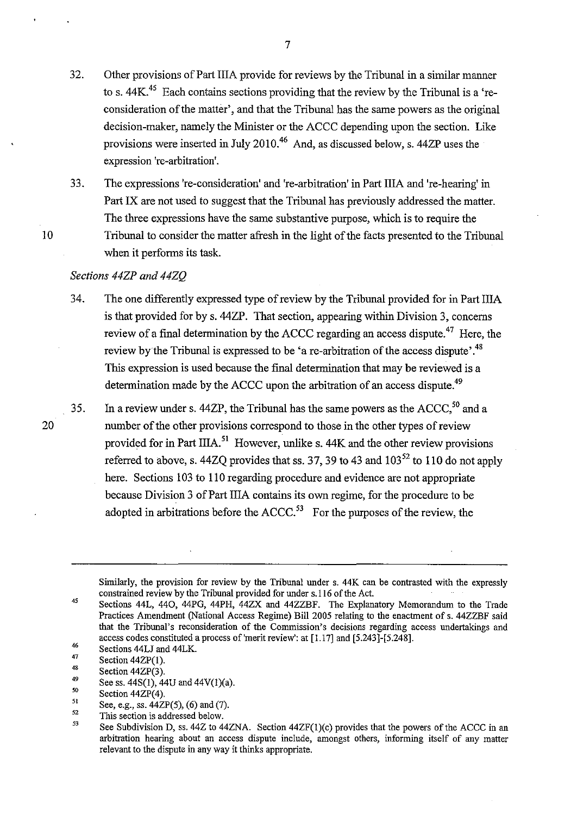- 32. Other provisions of Part lilA provide for reviews by the Tribunal in a similar manner to s. 44K<sup>45</sup> Each contains sections providing that the review by the Tribunal is a 'reconsideration of the matter', and that the Tribunal has the same powers as the original decision-maker, namely the Minister or the ACCC depending upon the section. Like provisions were inserted in July 2010.46 And, as discussed below, s. 44ZP uses the expression 're-arbitration'.
- 33. The expressions 're-consideration' and 're-arbitration' in Part lilA and 're-hearing' in Part IX are not used to suggest that the Tribunal has previously addressed the matter. The three expressions have the same substantive purpose, which is to require the Tribunal to consider the matter afresh in the light of the facts presented to the Tribunal when it performs its task.

### *Sections 44ZP and 44ZQ*

- 34. The one differently expressed type of review by the Tribunal provided for in Part IliA is that provided for by s. 44ZP. That section, appearing within Division 3, concerns review of a final determination by the ACCC regarding an access dispute.<sup>47</sup> Here, the review by the Tribunal is expressed to be 'a re-arbitration of the access dispute'.<sup>48</sup> This expression is used because the final determination that may be reviewed is a determination made by the ACCC upon the arbitration of an access dispute.<sup>49</sup>
- 35. In a review under s. 44ZP, the Tribunal has the same powers as the  $ACCC<sub>1</sub><sup>50</sup>$  and a number of the other provisions correspond to those in the other types of review provided for in Part IIIA.<sup>51</sup> However, unlike s. 44K and the other review provisions referred to above, s. 44ZQ provides that ss. 37, 39 to 43 and  $103^{52}$  to 110 do not apply here. Sections 103 to 110 regarding procedure and evidence are not appropriate because Division 3 of Part IliA contains its own regime, for the procedure to be adopted in arbitrations before the  $ACCC$ .<sup>53</sup> For the purposes of the review, the

20

Similarly, the provision for review by the Tribunal under s. 44K can be contrasted with the expressly constrained review by the Tribunal provided for under s.ll6 of the Act.

<sup>45</sup>  46 Sections 44L, 440, 44PG, 44PH, 44ZX and 44ZZBF. The Explanatory Memorandum to the Trade Practices Amendment (National Access Regime) Bill 2005 relating to the enactment of s. 44ZZBF said that the Tribunal's reconsideration of the Commission's decisions regarding access undertakings and access codes constituted a process of'merit review': at [1.17] and [5.243]-[5.248].

Sections 44LJ and 44LK.

<sup>47</sup>  48 Section 44ZP(1).

Section 44ZP(3).

<sup>49</sup>  See ss. 44S(1), 44U and 44V(1)(a).

<sup>50</sup>  Section 44ZP(4).

<sup>5</sup>I See, e.g., ss. 44ZP(5), (6) and (7).

<sup>52</sup>  This section is addressed below.

<sup>53</sup>  See Subdivision D, ss.  $44Z$  to  $44ZNA$ . Section  $44ZF(1)(c)$  provides that the powers of the ACCC in an arbitration hearing about an access dispute include, amongst others, informing itself of any matter relevant to the dispute in any way it thinks appropriate.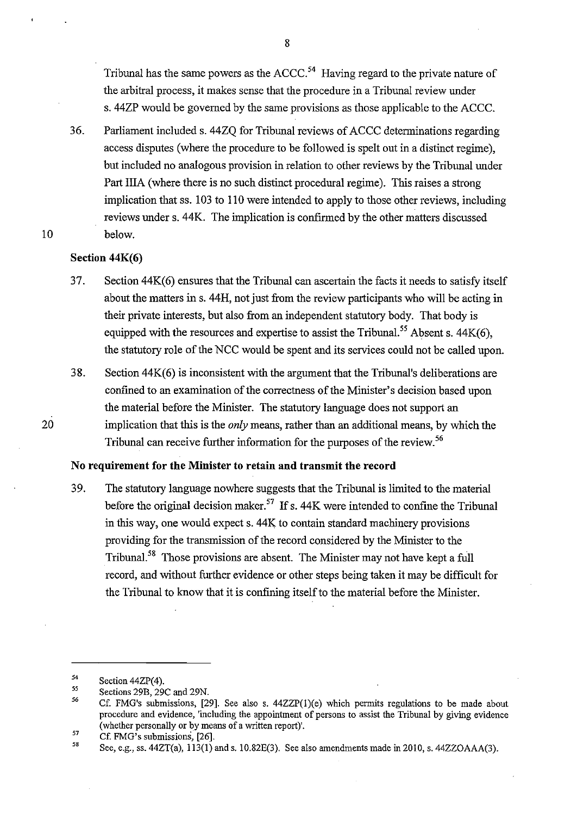Tribunal has the same powers as the ACCC.<sup>54</sup> Having regard to the private nature of the arbitral process, it makes sense that the procedure in a Tribunal review under s. 44ZP would be governed by the same provisions as those applicable to the ACCC.

36. Parliament included s. 44ZQ for Tribunal reviews of ACCC determinations regarding access disputes (where the procedure to be followed is spelt out in a distinct regime), but included no analogous provision in relation to other reviews by the Tribunal under Part IliA (where there is no such distinct procedural regime). This raises a strong implication that ss. 103 to 110 were intended to apply to those other reviews, including reviews under s. 44K. The implication is confirmed by the other matters discussed below.

### **Section 44K(6)**

10

20

- 37. Section 44K(6) ensures that the Tribunal can ascertain the facts it needs to satisfy itself about the matters ins. 44H, not just from the review participants who will be acting in their private interests, but also from an independent statutory body. That body is equipped with the resources and expertise to assist the Tribunal.<sup>55</sup> Absent s. 44K(6), the statutory role of the NCC would be spent and its services could not be called upon.
- 38. Section 44K(6) is inconsistent with the argument that the Tribunal's deliberations are confined to an examination of the correctness of the Minister's decision based upon the material before the Minister. The statutory language does not support an implication that this is the *only* means, rather than an additional means, by which the Tribunal can receive further information for the purposes of the review. 56

### **No requirement for the Minister to retain and transmit the record**

39. The statutory language nowhere suggests that the Tribunal is limited to the material before the original decision maker.<sup>57</sup> If s. 44K were intended to confine the Tribunal in this way, one would expect s. 44K to contain standard machinery provisions providing for the transmission of the record considered by the Minister to the Tribunal.<sup>58</sup> Those provisions are absent. The Minister may not have kept a full record, and without further evidence or other steps being taken it may be difficult for the Tribunal to know that it is confining itself to the material before the Minister.

<sup>54</sup>  Section 44ZP(4).

*<sup>55</sup>*  Sections 29B, 29C and 29N.

<sup>56</sup>  Cf. FMG's submissions,  $[29]$ . See also s.  $44ZZP(1)(e)$  which permits regulations to be made about procedure and evidence, 'including the appointment of persons to assist the Tribunal by giving evidence (whether personally or by means of a written report)'.

*<sup>51</sup>*  Cf. FMG's submissions, [26].

<sup>58</sup>  See, e.g., ss. 44ZT(a), 113(1) and s. 10.82E(3). See also amendments made in 2010, s. 44ZZOAAA(3).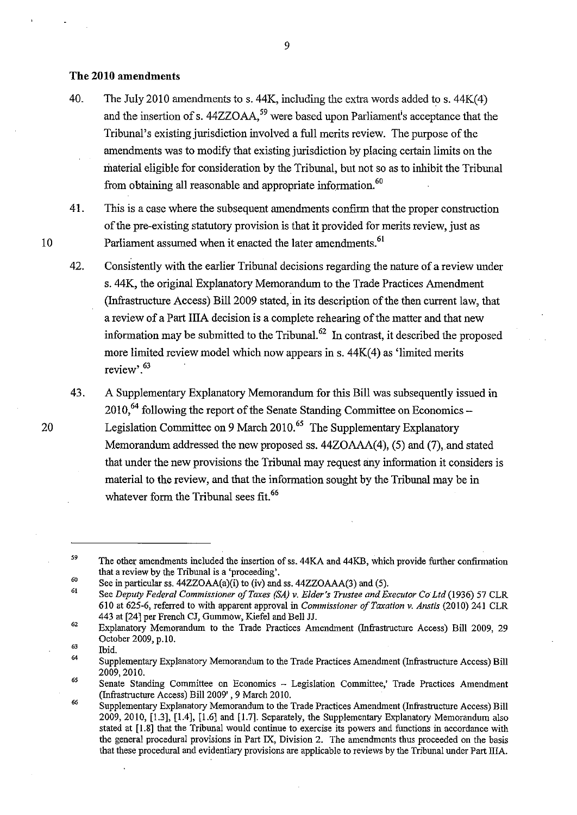#### **The 2010 amendments**

- 40. The July 2010 amendments to s. 44K, including the extra words added to s. 44K(4) and the insertion of s.  $44ZZOAA$ ,<sup>59</sup> were based upon Parliament's acceptance that the Tribunal's existing jurisdiction involved a full merits review. The purpose of the amendments was to modify that existing jurisdiction by placing certain limits on the material eligible for consideration by the Tribunal, but not so as to inhibit the Tribunal from obtaining all reasonable and appropriate information.<sup>60</sup>
- 41. This is a case where the subsequent amendments confirm that the proper construction of the pre-existing statutory provision is that it provided for merits review, just as Parliament assumed when it enacted the later amendments.<sup>61</sup>
- 42. Consistently with the earlier Tribunal decisions regarding the nature of a review under s. 44K, the original Explanatory Memorandum to the Trade Practices Amendment (Infrastructure Access) Bill 2009 stated, in its description of the then current law, that a review of a Part IliA decision is a complete rehearing of the matter and that new information may be submitted to the Tribunal. $^{62}$  In contrast, it described the proposed more limited review model which now appears in  $s$ .  $44K(4)$  as 'limited merits review'.<sup>63</sup>
- 43. A Supplementary Explanatory Memorandum for this Bill was subsequently issued in  $2010$ , <sup>64</sup> following the report of the Senate Standing Committee on Economics – Legislation Committee on 9 March 2010.<sup>65</sup> The Supplementary Explanatory Memorandum addressed the new proposed ss. 44ZOAAA(4), (5) and (7), and stated that under the new provisions the Tribunal may request any information it considers is material to the review, and that the information sought by the Tribunal may be in whatever form the Tribunal sees fit.<sup>66</sup>

Ibid.

9

20

<sup>59</sup>  The other amendments included the insertion of ss. 44KA and 44KB, which provide further confirmation that a review by the Tribunal is a 'proceeding'.

<sup>60</sup>  See in particular ss. 44ZZOAA(a)(i) to (iv) and ss. 44ZZOAAA(3) and (5).

<sup>61</sup>  See *Deputy Federal Commissioner of Taxes (SA) v. Elder's Trustee and Executor Co Ltd* (1936) 57 CLR 610 at 625-6, referred to with apparent approval in *Commissioner of Taxation v. Anstis* (2010) 241 CLR 443 at [24] per French CJ, Gummow, Kiefel and Bell JJ.

<sup>62</sup>  63 Explanatory Memorandum to the Trade Practices Amendment (Infrastructure Access) Bill 2009, 29 October 2009, p.10.

<sup>64</sup>  Supplementary Explanatory Memorandum to the Trade Practices Amendment (Infrastructure Access) Bill 2009,2010.

<sup>65</sup>  66 Senate Standing Committee on Economics - Legislation Committee,' Trade Practices Amendment (Infrastructure Access) Bill2009', 9 March 2010.

Supplementary Explanatory Memorandum to the Trade Practices Amendment (Infrastructure Access) Bill 2009, 2010, [1.3], [1.4], [1.6] and [1.7]. Separately, the Supplementary Explanatory Memorandum also stated at [1.8] that the Tribunal would continue to exercise its powers and functions in accordance with the general procedural provisions in Part IX, Division 2. The amendments thus proceeded on the basis that these procedural and evidentiary provisions are applicable to reviews by the Tribunal under Part IliA.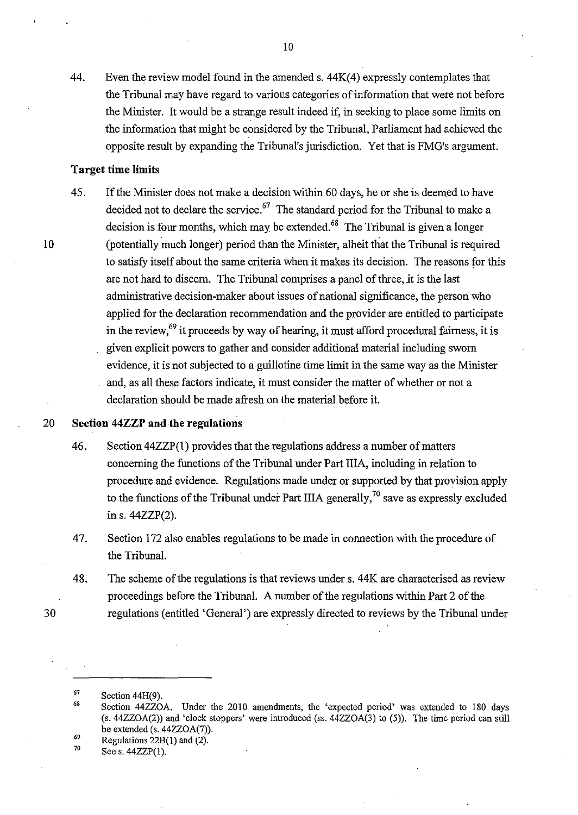44. Even the review model found in the amended s. 44K(4) expressly contemplates that the Tribunal may have regard to various categories of information that were not before the Minister. It would be a strange result indeed if, in seeking to place some limits on the information that might be considered by the Tribunal, Parliament had achieved the opposite result by expanding the Tribunal's jurisdiction. Yet that is FMG's argument.

### **Target time limits**

45. If the Minister does not make a decision within 60 days, he or she is deemed to have decided not to declare the service.  $67$  The standard period for the Tribunal to make a decision is four months, which may be extended. $68$  The Tribunal is given a longer (potentially much longer) period than the Minister, albeit that the Tribunal is required to satisfy itself about the same criteria when it makes its decision. The reasons for this are not hard to discern. The Tribunal comprises a panel of three, it is the last administrative decision-maker about issues of national significance, the person who applied for the declaration recommendation and the provider are entitled to participate in the review,  $^{69}$  it proceeds by way of hearing, it must afford procedural fairness, it is given explicit powers to gather and consider additional material including sworn evidence, it is not subjected to a guillotine time limit in the same way as the Minister and, as all these factors indicate, it must consider the matter of whether or not a declaration should be made afresh on the material before it.

30

10

## 20 **Section 44ZZP and the regulations**

- 46. Section 44ZZP(1) provides that the regulations address a number of matters concerning the functions of the Tribunal under Part IliA, including in relation to procedure and evidence. Regulations made under or supported by that provision apply to the functions of the Tribunal under Part IIIA generally,<sup>70</sup> save as expressly excluded in s. 44ZZP(2).
- 47. Section 172 also enables regulations to be made in connection with the procedure of the Tribunal.
- 48. The scheme of the regulations is that reviews under s. 44K are characterised as review proceedings before the Tribunal. A number of the regulations within Part 2 of the regulations (entitled 'General') are expressly directed to reviews by the Tribunal under

69 Regulations 22B(l) and (2).

70 Sees. 44ZZP(l).

<sup>67</sup>  Section 44H(9).

<sup>68</sup>  Section 44ZZOA. Under the 2010 amendments, the 'expected period' was extended to 180 days (s. 44ZZOA(2)) and 'clock stoppers' were introduced (ss. 44ZZOA(3) to (5)). The time period can still be extended (s. 44ZZOA(7)).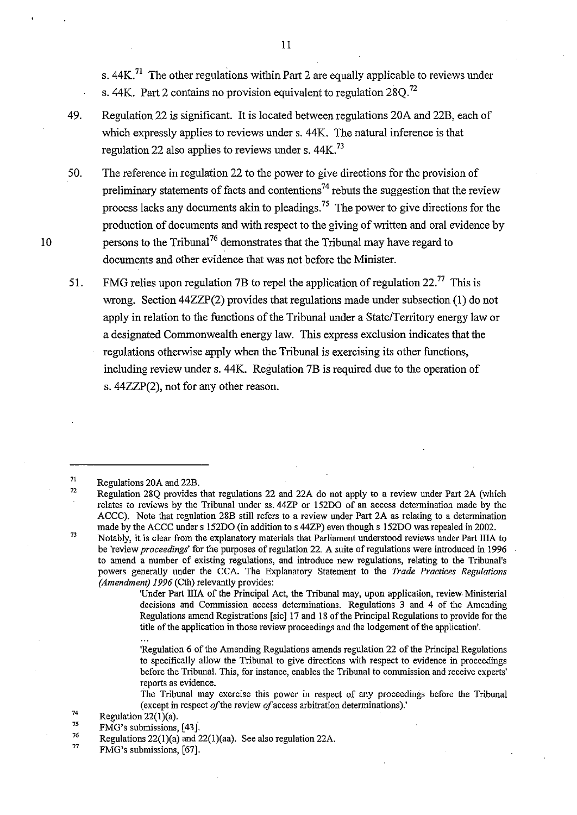s.  $44K<sup>71</sup>$  The other regulations within Part 2 are equally applicable to reviews under s. 44K. Part 2 contains no provision equivalent to regulation  $280^{22}$ 

10

49. Regulation 22 is significant. It is located between regulations 20A and 22B, each of which expressly applies to reviews under s. 44K. The natural inference is that regulation 22 also applies to reviews under s.  $44K<sup>73</sup>$ 

50. The reference in regulation 22 to the power to give directions for the provision of preliminary statements of facts and contentions<sup>74</sup> rebuts the suggestion that the review process lacks any documents akin to pleadings. 75 The power to give directions for the production of documents and with respect to the giving of written and oral evidence by persons to the Tribunal<sup>76</sup> demonstrates that the Tribunal may have regard to documents and other evidence that was not before the Minister.

51. FMG relies upon regulation 7B to repel the application of regulation  $22.^{77}$  This is wrong. Section 44ZZP(2) provides that regulations made under subsection (1) do not apply in relation to the functions of the Tribunal under a State/Territory energy law or a designated Commonwealth energy law. This express exclusion indicates that the regulations otherwise apply when the Tribunal is exercising its other functions, including review under s. 44K. Regulation 7B is required due to the operation of s. 44ZZP(2), not for any other reason.

7l Regulations 20A and 22B.

77 FMG's submissions, [67]. II

<sup>72</sup>  Regulation 28Q provides that regulations 22 and 22A do not apply to a review under Part 2A (which relates to reviews by the Tribunal under ss. 44ZP or 152DO of an access determination made by the ACCC). Note that regulation 28B still refers to a review under Part 2A as relating to a determination made by the ACCC under s 152DO (in addition to s 44ZP) even though s 152DO was repealed in 2002.

<sup>73</sup>  Notably, it is clear from the explanatory materials that Parliaroent understood reviews under Part IliA to be 'review *proceedings'* for the purposes of regulation 22. A suite ofregulations were introduced in 1996 to amend a number of existing regulations, and introduce new regulations, relating to the Tribunal's powers generally under the CCA. The Explanatory Statement to the *Trade Practices Regulations (Amendment) 1996* (Cth) relevantly provides:

<sup>&#</sup>x27;Under Part IliA of the Principal Act, the Tribunal may, upon application, review Ministerial decisions and Commission access determinations. Regulations 3 and 4 of the Amending Regulations amend Registrations [sic] 17 and 18 of the Principal Regulations to provide for the title of the application in those review proceedings and the lodgement of the application'.

<sup>&#</sup>x27;Regulation 6 of the Amending Regulations amends regulation 22 of the Principal Regulations to specifically allow the Tribunal to give directions with respect to evidence in proceedings before the Tribunal. This, for instance, enables the Tribunal to commission and receive experts' **reports as evidence.** 

The Tribunal may exercise this power in respect of any proceedings before the Tribunal (except in respect *of* the review *of* access arbitration determinations).'

<sup>74</sup>  75 Regulation  $22(1)(a)$ .

FMG's submissions, [43].

<sup>76</sup>  Regulations 22(1)(a) and 22(1)(aa). See also regulation 22A.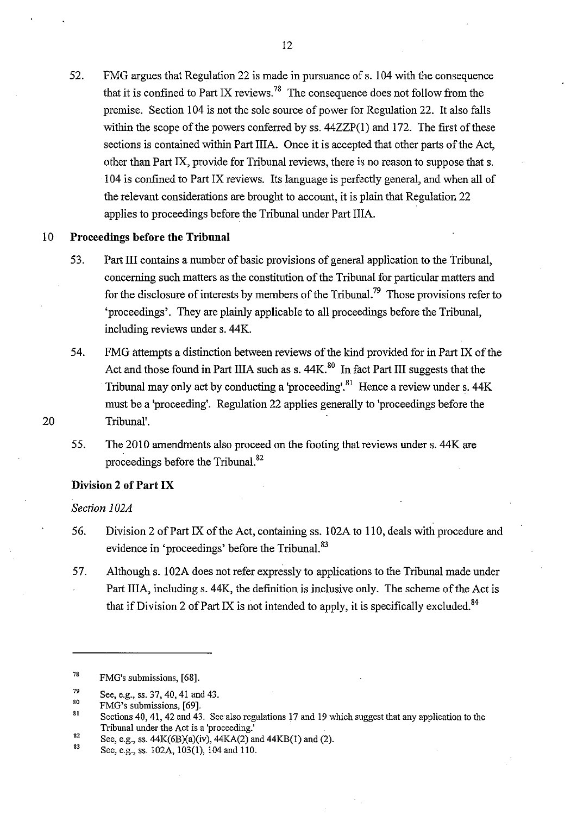52. FMG argues that Regulation 22 is made in pursuance of s. 104 with the consequence that it is confined to Part IX reviews.<sup>78</sup> The consequence does not follow from the premise. Section 104 is not the sole source of power for Regulation 22. It also falls within the scope of the powers conferred by ss. 44ZZP(1) and 172. The first of these sections is contained within Part IliA. Once it is accepted that other parts of the Act, other than Part IX, provide for Tribunal reviews, there is no reason to suppose that s. 104 is confined to Part IX reviews. Its language is perfectly general, and when all of the relevant considerations are brought to account, it is plain that Regulation 22 applies to proceedings before the Tribunal under Part IliA.

#### 10 **Proceedings before the Tribunal**

- 53. Part III contains a number of basic provisions of general application to the Tribunal, concerning such matters as the constitution of the Tribunal for particular matters and for the disclosure of interests by members of the Tribunal.<sup>79</sup> Those provisions refer to 'proceedings'. They are plainly applicable to all proceedings before the Tribunal, including reviews under s. 44K.
- 54. FMG attempts a distinction between reviews of the kind provided for in Part IX of the Act and those found in Part IIIA such as s. 44K.<sup>80</sup> In fact Part III suggests that the Tribunal may only act by conducting a 'proceeding'.<sup>81</sup> Hence a review under s.  $44K$ must be a 'proceeding'. Regulation 22 applies generally to 'proceedings before the Tribunal'.
- 55. The 2010 amendments also proceed on the footing that reviews under s. 44K are proceedings before the Tribunal. 82

#### **Division 2 of Part IX**

*Section 1 02A* 

- 56. Division 2 of Part IX of the Act, containing ss. 102A to 110, deals with procedure and evidence in 'proceedings' before the Tribunal.<sup>83</sup>
- 57. Although s. 1 02A does not refer expressly to applications to the Tribunal made under Part IIIA, including s. 44K, the definition is inclusive only. The scheme of the Act is that if Division 2 of Part IX is not intended to apply, it is specifically excluded.<sup>84</sup>

<sup>7&</sup>amp; FMG's submissions, [68].

<sup>79</sup>  See, e.g., ss. 37, 40,41 and 43.

<sup>80</sup>  FMG's submissions, [69].

<sup>81</sup>  Sections 40, 41, 42 and 43. See also regulations 17 and 19 which suggest that any application to the Tribunal under the Act is a 'proceeding.'

<sup>82</sup>  See, e.g., ss. 44K(6B)(a)(iv), 44KA(2) and 44KB{l) and (2).

<sup>83</sup>  See, e.g., ss. 102A, 103{1), 104 and 110.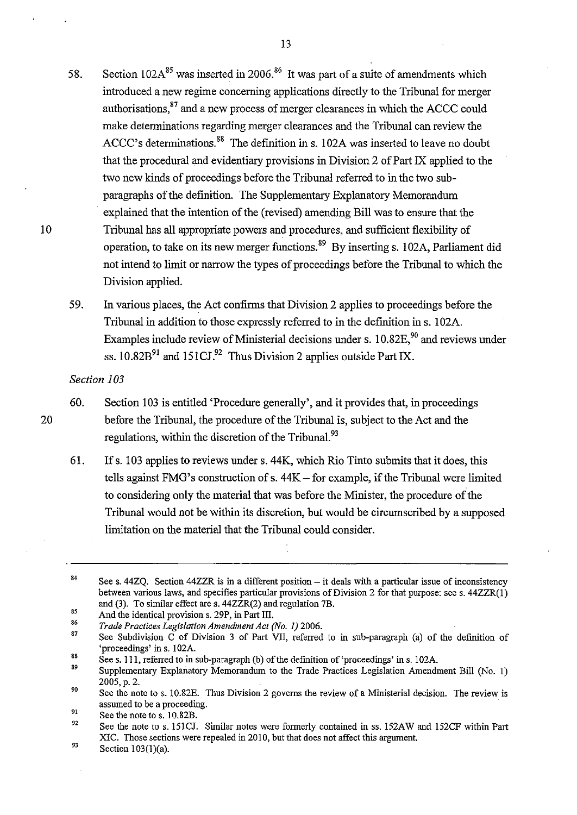- 58. Section  $102A^{85}$  was inserted in 2006.<sup>86</sup> It was part of a suite of amendments which introduced a new regime concerning applications directly to the Tribunal for merger authorisations, 87 and a new process of merger clearances in which the ACCC could make determinations regarding merger clearances and the Tribunal can review the ACCC's determinations.<sup>88</sup> The definition in s. 102A was inserted to leave no doubt that the procedural and evidentiary provisions in Division 2 of Part IX applied to the two new kinds of proceedings before the Tribunal referred to in the two subparagraphs of the definition. The Supplementary Explanatory Memorandum explained that the intention of the (revised) amending Bill was to ensure that the Tribunal has all appropriate powers and procedures, and sufficient flexibility of operation, to take on its new merger functions. 89 By inserting s. 1 02A, Parliament did not intend to limit or narrow the types of proceedings before the Tribunal to which the Division applied.
- 59. In various places, the Act confirms that Division 2 applies to proceedings before the Tribunal in addition to those expressly referred to in the definition in s. l 02A. Examples include review of Ministerial decisions under s.  $10.82E<sup>90</sup>$  and reviews under ss.  $10.82B<sup>91</sup>$  and  $151CJ<sup>92</sup>$  Thus Division 2 applies outside Part IX.

### *Section 103*

10

20

- 60. Section 103 is entitled 'Procedure generally', and it provides that, in proceedings before the Tribunal, the procedure of the Tribunal is, subject to the Act and the regulations, within the discretion of the Tribunal.<sup>93</sup>
- 61. If s. 103 applies to reviews under s. 44K, which Rio Tinto submits that it does, this tells against FMG's construction of s.  $44K$  – for example, if the Tribunal were limited to considering only the material that was before the Minister, the procedure of the Tribunal would not be within its discretion, but would be circumscribed by a supposed limitation on the material that the Tribunal could consider.

93 Section 103(1)(a).

<sup>84</sup>  See s. 44ZQ. Section 44ZZR is in a different position – it deals with a particular issue of inconsistency between various laws, and specifies particular provisions of Division 2 for that purpose: see s. 44ZZR(l) and (3). To similar effect are s. 44ZZR(2) and regulation 7B.

<sup>85</sup>  And the identical provision s. 29P, in Part Ill.

<sup>86</sup>  *Trade Practices Legislation Amendment Act (No. 1)* 2006.

<sup>87</sup>  See Subdivision C of Division 3 of Part VII, referred to in sub-paragraph (a) of the definition of 'proceedings' in s. 102A.

<sup>88&</sup>lt;br>89 See s. 111, referred to in sub-paragraph (b) of the definition of 'proceedings' in s. 102A.

Supplementary Explanatory Memorandum to the Trade Practices Legislation Amendment Bill (No. I) 2005,p. 2.

<sup>90</sup>  91 See the note to s. 10.82E. Thus Division 2 governs the review of a Ministerial decision. The review is assumed to be a proceeding.

See the note to s. 10.82B.

<sup>92</sup>  See the note to s. 151CJ. Similar notes were formerly contained in ss. 152AW and l52CF within Part XIC. Those sections were repealed in 2010, but that does not affect this argument.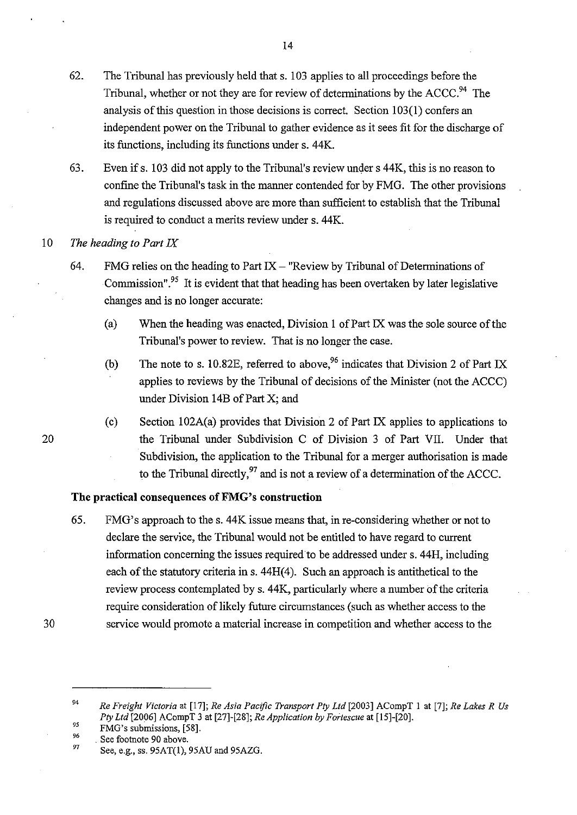- 62. The Tribunal has previously held that s. I 03 applies to all proceedings before the Tribunal, whether or not they are for review of determinations by the  $ACCC<sup>94</sup>$ . The analysis of this question in those decisions is correct. Section 103(1) confers an independent power on the Tribunal to gather evidence as it sees fit for the discharge of its functions, including its functions under s. 44K.
- 63. Even if s. 103 did not apply to the Tribunal's review under s 44K, this is no reason to confme the Tribunal's task in the manner contended for by FMG. The other provisions and regulations discussed above are more than sufficient to establish that the Tribunal is required to conduct a merits review under s. 44K.

#### 10 *The heading to Part IX*

20

30

- 64. FMG relies on the heading to Part  $IX -$  "Review by Tribunal of Determinations of Commission".<sup>95</sup> It is evident that that heading has been overtaken by later legislative changes and is no longer accurate:
	- (a) When the heading was enacted, Division 1 of Part IX was the sole source of the Tribunal's power to review. That is no longer the case.
	- (b) The note to s. 10.82E, referred to above,<sup>96</sup> indicates that Division 2 of Part IX applies to reviews by the Tribunal of decisions of the Minister (not the ACCC) under Division 14B of Part X; and
	- (c) Section 102A(a) provides that Division 2 of Part IX applies to applications to the Tribunal under Subdivision C of Division 3 of Part VII. Under that Subdivision, the application to the Tribunal for a merger authorisation is made to the Tribunal directly,  $97$  and is not a review of a determination of the ACCC.

### **The practical consequences ofFMG's construction**

- 65. FMG's approach to the s. 44K issue means that, in re-considering whether or not to declare the service, the Tribunal would not be entitled to have regard to current information concerning the issues required to be addressed under s. 44H, including each of the statutory criteria in s. 44H(4). Such an approach is antithetical to the review process contemplated by s. 44K, particularly where a number of the criteria require consideration of likely future circumstances (such as whether access to the service would promote a material increase in competition and whether access to the
- 94 *95 Re Freight Victoria* at [17]; *Re Asia Pacific Transport Pty Ltd* [2003] ACompT I at [7]; *Re Lakes R Us Ply Ltd* [2006] ACompT 3 at [27)-[28); *ReApplication by Fortescue* at [15)-[20).
- 96 FMG's submissions, [58].
- 97 . See footnote 90 above.

See, e.g., ss. 95AT(l), 95AU and 95AZG.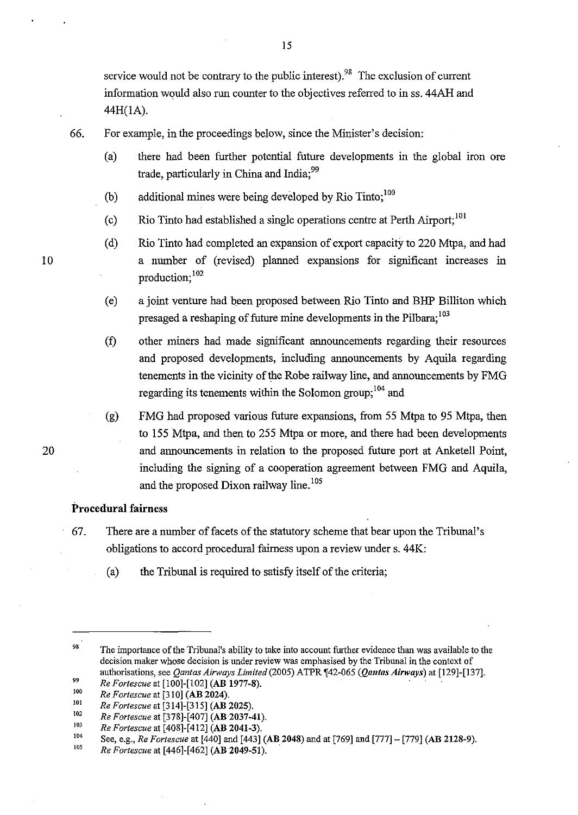service would not be contrary to the public interest).<sup>98</sup> The exclusion of current information would also run counter to the objectives referred to in ss. 44AH and 44H(IA).

66. For example, in the proceedings below, since the Minister's decision:

- (a) there had been further potential future developments in the global iron ore trade, particularly in China and India;<sup>99</sup>
- (b) additional mines were being developed by Rio Tinto;<sup>100</sup>
- (c) Rio Tinto had established a single operations centre at Perth Airport;<sup>101</sup>
- (d) Rio Tinto had completed an expansion of export capacity to 220 Mtpa, and had a number of (revised) planned expansions for significant increases in production:  $^{102}$
- (e) a joint venture had been proposed between Rio Tinto and BHP Billiton which presaged a reshaping of future mine developments in the Pilbara;<sup>103</sup>
- (f) other miners had made significant announcements regarding their resources and proposed developments, including announcements by Aquila regarding tenements in the vicinity of the Robe railway line, and announcements by FMG regarding its tenements within the Solomon group;<sup>104</sup> and
- (g) FMG had proposed various future expansions, from 55 Mtpa to 95 Mtpa, then to !55 Mtpa, and then to 255 Mtpa or more, and there had been developments and announcements in relation to the proposed future port at Anketell Point, including the signing of a cooperation agreement between FMG and Aquila, and the proposed Dixon railway line.<sup>105</sup>

#### **Procedural** fairness

- 67. There are a number of facets of the statutory scheme that bear upon the Tribunal's obligations to accord procedural fairness upon.a review under s. 44K:
	- (a) the Tribunal is required to satisfy itself of the criteria;

<sup>98</sup>  99 The importance of the Tribunal's ability to take into account further evidence than was available to the decision maker whose decision is under review was emphasised by the Tribunal in the context of authorisations, see *Qantas Airways Limited* (2005) ATPR [42-065 (*Qantas Airways*) at [129]-[137].

<sup>100</sup>  *Re Fortescue* at [100]-[102] (AB 1977-8).

<sup>101</sup>  *Re Fortescue* at [310] (AB 2024).

<sup>102</sup>  *Re Fortescue* at [314]-[315] (AB 2025).

<sup>103</sup>  *Re Fortescue* at [378]-[407] (AB 2037-41).

<sup>104</sup>  *Re Fortescue* at [408]-[412] (AB 2041-3).

See, e.g., *Re Fortescue* at [440] and [443] (AB 2048) and at [769] and [777]- [779] (AB 2128-9).

<sup>105</sup>  *Re Fortescue* at [446]-[462] (AB 2049-51). ·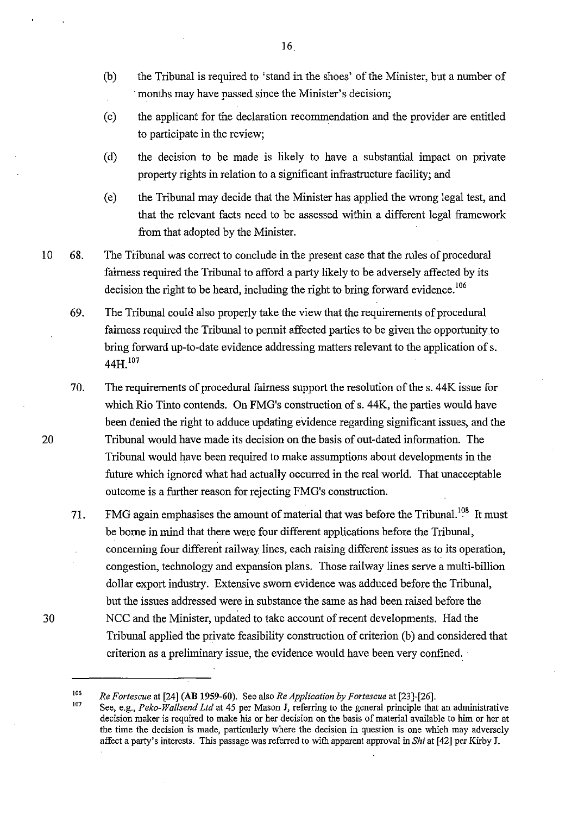- (b) the Tribunal is required to 'stand in the shoes' of the Minister, but a number of months may have passed since the Minister's decision;
- (c) the applicant for the declaration recommendation and the provider are entitled to participate in the review;
- (d) the decision to be made is likely to have a substantial impact on private property rights in relation to a significant infrastructure facility; and
- (e) the Tribunal may decide that the Minister has applied the wrong legal test, and that the relevant facts need to be assessed within a different legal framework from that adopted by the Minister.
- 10 68. The Tribunal was correct to conclude in the present case that the rules of procedural fairness required the Tribunal to afford a party likely to be adversely affected by its decision the right to be heard, including the right to bring forward evidence.<sup>106</sup>
	- 69. The Tribunal could also properly take the view that the requirements of procedural fairness required the Tribunal to permit affected parties to be given the opportunity to bring forward up-to-date evidence addressing matters relevant to the application of s. 44H<sup>107</sup>
	- 70. The requirements of procedural fairness support the resolution of the s. 44K issue for which Rio Tinto contends. On FMG's construction of s. 44K, the parties would have been denied the right to adduce updating evidence regarding significant issues, and the Tribunal would have made its decision on the basis of out-dated information. The Tribunal would have been required to make assumptions about developments in the future which ignored what had actually occurred in the real world. That unacceptable outcome is a further reason for rejecting FMG's construction.
	- 71. FMG again emphasises the amount of material that was before the Tribunal.<sup>108</sup> It must be borne in mind that there were four different applications before the Tribunal, concerning four different railway lines, each raising different issues as to its operation, congestion, technology and expansion plans. Those railway lines serve a multi-billion dollar export industry. Extensive sworn evidence was adduced before the Tribunal, but the issues addressed were in substance the same as had been raised before the NCC and the Minister, updated to take account of recent developments. Had the Tribunal applied the private feasibility construction of criterion (b) and considered that criterion as a preliminary issue, the evidence would have been very confined.

20

<sup>106</sup>  107 *Re Fortescue* at [24] (AB 1959-60). See also *ReApplication by Fortescue* at [23]-[26].

See, e.g., *Peko-Wa/lsend Ltd* at 45 per Mason J, referring to the general principle that an administrative decision maker is required to make his or her decision on the basis of material available to him or her at the time the decision is made, particularly where the decision in question is one which may adversely affect a party's iriterests. This passage was referred to with apparent approval in *Shi* at [42] per Kirby J.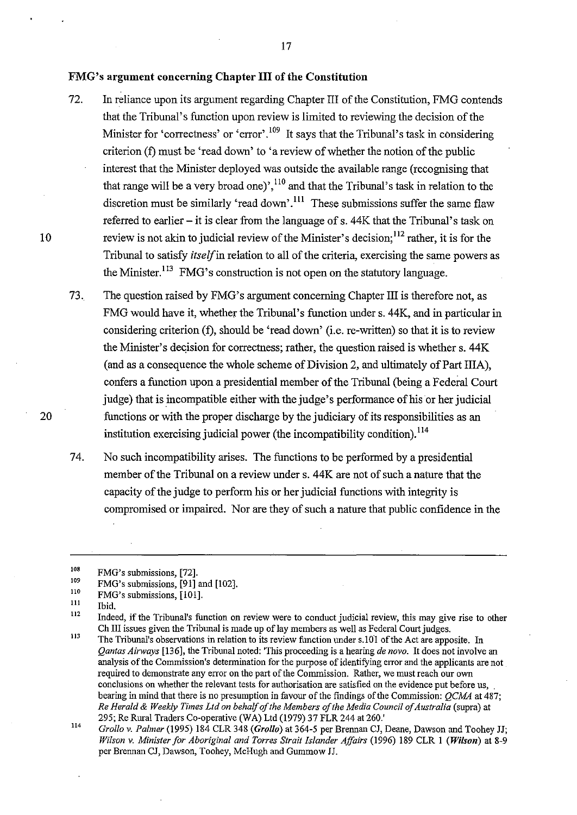#### **FMG's argument concerning Chapter III of the Constitution**

- 72. In reliance upon its argument regarding Chapter III of the Constitution, FMG contends that the Tribunal's function upon review is limited to reviewing the decision of the Minister for 'correctness' or 'error'.<sup>109</sup> It says that the Tribunal's task in considering criterion (f) must be 'read down' to 'a review of whether the notion of the public interest that the Minister deployed was outside the available range (recognising that that range will be a very broad one)',  $^{110}$  and that the Tribunal's task in relation to the discretion must be similarly 'read down'.<sup>111</sup> These submissions suffer the same flaw referred to earlier  $-$  it is clear from the language of s. 44K that the Tribunal's task on review is not akin to judicial review of the Minister's decision;<sup>112</sup> rather, it is for the Tribunal to satisfy *itself* in relation to all of the criteria, exercising the same powers as the Minister.<sup>113</sup> FMG's construction is not open on the statutory language.
- 73. The question raised by FMG's argument concerning Chapter III is therefore not, as FMG would have it, whether the Tribunal's function under s. 44K, and in particular in considering criterion (f), should be 'read down' (i.e. re-written) so that it is to review the Minister's decision for correctness; rather, the question raised is whether s. 44K (and as a consequence the whole scheme of Division 2, and ultimately of Part IliA), confers a function upon a presidential member of the Tribunal (being a Federal Court judge) that is incompatible either with the judge's performance of his or her judicial functions or with the proper discharge by the judiciary of its responsibilities as an institution exercising judicial power (the incompatibility condition).<sup>114</sup>
- 74. No such incompatibility arises. The functions to be performed by a presidential member of the Tribunal on a review under s. 44K are not of such a nature that the capacity of the judge to perform his or her judicial functions with integrity is compromised or impaired. Nor are they of such a nature that public confidence in the

l1l Ibid.

10

20

<sup>108</sup>  FMG's submissions, [72].

<sup>109</sup>  FMG's submissions, [91] and [102].

llO FMG's submissions, [101].

<sup>112</sup>  Indeed, if the Tribunal's function on review were to conduct judicial review, this may give rise to other Ch III issues given the Tribunal is made up of lay members as well as Federal Court judges.

ll3 The Tribunal's observations in relation to its review function under s.lO! of the Act are apposite. In *Qantas Airways* [136], the Tribunal noted: 'This proceeding is a hearing *de novo.* It does not involve an analysis of the Commission's determination for the purpose of identifying error and the applicants are not required to demonstrate any error on the part of the Commission. Rather, we must reach our own conclusions on whether the relevant tests for authorisation are satisfied on the evidence put before us, bearing in mind that there is no presumption in favour of the fmdings of the Commission: *QCMA* at 487; *Re Herald* & *Weekly Times Ltd on behalf of the Members of the Media Council of Australia* (supra) at 295; Re Rural Traders Co-operative (WA) Ltd (1979) 37 FLR 244 at 260.'

ll4 *Grollo v. Palmer* (1995) 184 CLR 348 *(Grollo)* at 364-5 per Brennan CJ, Deane, Dawson and Toohey JJ; *Wilson v. Minister for Aboriginal and Torres Strait Islander Affairs* (1996) 189 CLR 1 *(Wilson)* at 8-9 per Brennan CJ, Dawson, Toohey, McHugh and Gummow JJ.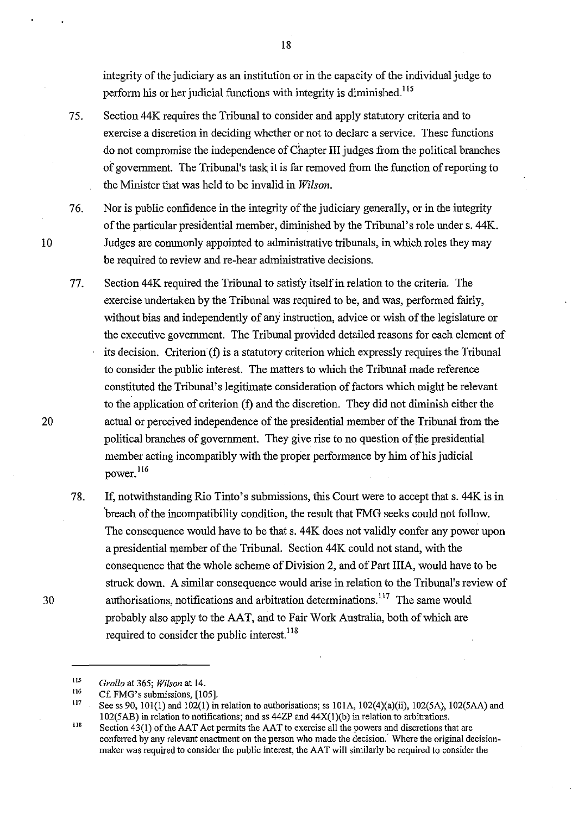integrity of the judiciary as an institution or in the capacity of the individual judge to perform his or her judicial functions with integrity is diminished.<sup>115</sup>

- 75. Section 44K requires the Tribunal to consider and apply statutory criteria and to exercise a discretion in deciding whether or not to declare a service. These functions do not compromise the independence of Chapter III judges from the political branches of government. The Tribunal's task it is far removed from the function of reporting to the Minister that was held to be invalid in *Wilson.*
- 76. Nor is public confidence in the integrity of the judiciary generally, or in the integrity of the particular presidential member, diminished by the Tribunal's role under s. 44K. Judges are commonly appointed to administrative tribunals, in which roles they may be required to review and re-hear administrative decisions.
- 77. Section 44K required the Tribunal to satisfy itself in relation to the criteria. The exercise undertaken by the Tribunal was required to be, and was, performed fairly, without bias and independently of any instruction, advice or wish of the legislature or the executive government. The Tribunal provided detailed reasons for each element of its decision. Criterion (f) is a statutory criterion which expressly requires the Tribunal to consider the public interest. The matters to which the Tribunal made reference constituted the Tribunal's legitimate consideration of factors which might be relevant to the application of criterion (f) and the discretion. They did not diminish either the actual or perceived independence of the presidential member of the Tribunal from the political branches of government. They give rise to no question of the presidential member acting incompatibly with the proper performance by him of his judicial power. 116
- 78. If, notwithstanding Rio Tinto's submissions, this Court were to accept that s. 44K is in breach of the incompatibility condition, the result that FMG seeks could not follow. The consequence would have to be that s. 44K does not validly confer any power upon a presidential member of the Tribunal. Section 44 K could not stand, with the consequence that the whole scheme of Division 2, and of Part IIIA, would have to be struck down. A similar consequence would arise in relation to the Tribunal's review of authorisations, notifications and arbitration determinations.<sup>117</sup> The same would probably also apply to the AAT, and to Fair Work Australia, both of which are required to consider the public interest.<sup>118</sup>

10

20

30

<sup>115</sup>  *Grollo* at 365; *Wilson* at 14.

<sup>116</sup>  Cf. FMG's submissions, [105].

ll7 See ss 90, 101(1) and 102(1) in relation to authorisations; ss 101A, 102(4)(a)(ii), 102(5A), 102(5AA) and I 02(5AB) in relation to notifications; and ss 44ZP and 44X(l )(b) in relation to arbitrations.

<sup>118</sup>  Section  $43(1)$  of the AAT Act permits the AAT to exercise all the powers and discretions that are conferred by any relevant enactment on the person who made the decision.' Where the original decisionmaker was required to consider the public interest, the AAT will similarly be required to consider the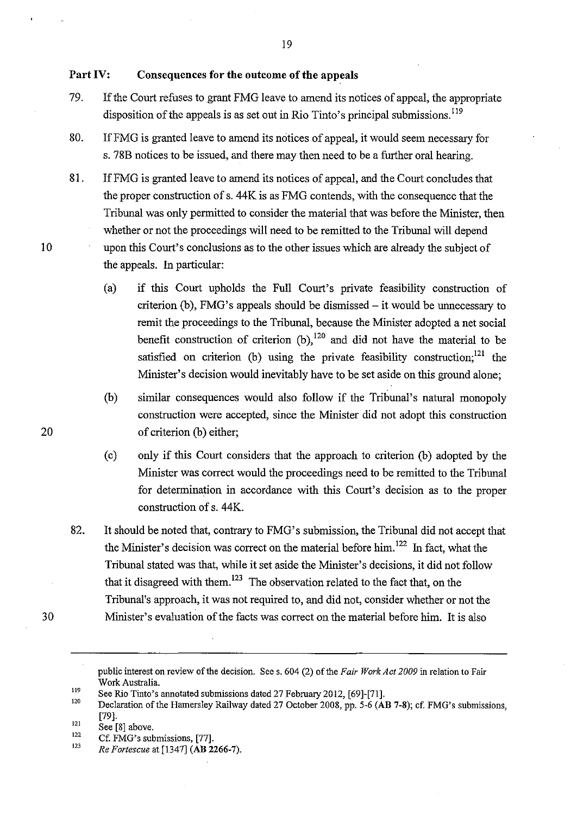### **Part IV: Consequences for the outcome of the appeals**

the appeals. In particular:

79. If the Court refuses to grant FMG leave to amend its notices of appeal, the appropriate disposition of the appeals is as set out in Rio Tinto's principal submissions.<sup>119</sup>

19

- 80. IfFMG is granted leave to amend its notices of appeal, it would seem necessary for s. 78B notices to be issued, and there may then need to be a further oral hearing.
- 81. IfFMG is granted leave to amend its notices of appeal, and the Court concludes that the proper construction of s. 44K is as FMG contends, with the consequence that the Tribunal was only permitted to consider the material that was before the Minister, then whether or not the proceedings will need to be remitted to the Tribunal will depend upon this Court's conclusions as to the other issues which are already the subject of
	- (a) if this Court upholds the Full Court's private feasibility construction of criterion (b), FMG's appeals should be dismissed- it would be unnecessary to remit the proceedings to the Tribunal, because the Minister adopted a net social benefit construction of criterion  $(b)$ ,  $^{120}$  and did not have the material to be satisfied on criterion (b) using the private feasibility construction;<sup>121</sup> the Minister's decision would inevitably have to be set aside on this ground alone;
	- (b) similar consequences would also follow if the Tribunal's natural monopoly construction were accepted, since the Minister did not adopt this construction of criterion (b) either;
	- (c) only if this Court considers that the approach to criterion (b) adopted by the Minister was correct would the proceedings need to be remitted to the Tribunal for determination in accordance with this Court's decision as to the proper construction of s. 44K.
- 82. It should be noted that, contrary to FMG's submission, the Tribunal did not accept that the Minister's decision was correct on the material before him. 122 In fact, what the Tribunal stated was that, while it set aside the Minister's decisions, it did not follow that it disagreed with them.<sup>123</sup> The observation related to the fact that, on the Tribunal's approach, it was not required to, and did not, consider whether or not the Minister's evaluation of the facts was correct on the material before him. It is also

10

20

public interest on review of the decision. Sees. 604 (2) of the *Fair Work Act 2009* in relation to Fair Work Australia.

<sup>119</sup>  120 See Rio Tinto's annotated submissions dated 27 February 2012, [69]-[71].

<sup>121</sup>  Declaration of the Hamersley Railway dated 27 October 2008, pp. 5-6 (AB 7-8); cf. FMG's submissions, [79].

<sup>122</sup>  See [8] above.

Cf. FMG's submissions, [77].

<sup>123</sup>  *Re Fortescue* at [1347] (AB 2266-7).